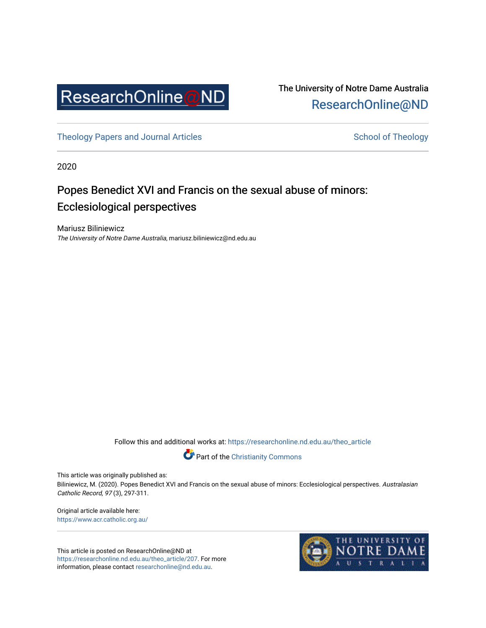

The University of Notre Dame Australia [ResearchOnline@ND](https://researchonline.nd.edu.au/) 

[Theology Papers and Journal Articles](https://researchonline.nd.edu.au/theo_article) and [School of Theology](https://researchonline.nd.edu.au/theo) School of Theology

2020

# Popes Benedict XVI and Francis on the sexual abuse of minors: Ecclesiological perspectives

Mariusz Biliniewicz The University of Notre Dame Australia, mariusz.biliniewicz@nd.edu.au

Follow this and additional works at: [https://researchonline.nd.edu.au/theo\\_article](https://researchonline.nd.edu.au/theo_article?utm_source=researchonline.nd.edu.au%2Ftheo_article%2F207&utm_medium=PDF&utm_campaign=PDFCoverPages) 



This article was originally published as:

Biliniewicz, M. (2020). Popes Benedict XVI and Francis on the sexual abuse of minors: Ecclesiological perspectives. Australasian Catholic Record, 97 (3), 297-311.

Original article available here: <https://www.acr.catholic.org.au/>

This article is posted on ResearchOnline@ND at [https://researchonline.nd.edu.au/theo\\_article/207](https://researchonline.nd.edu.au/theo_article/207). For more information, please contact [researchonline@nd.edu.au.](mailto:researchonline@nd.edu.au)

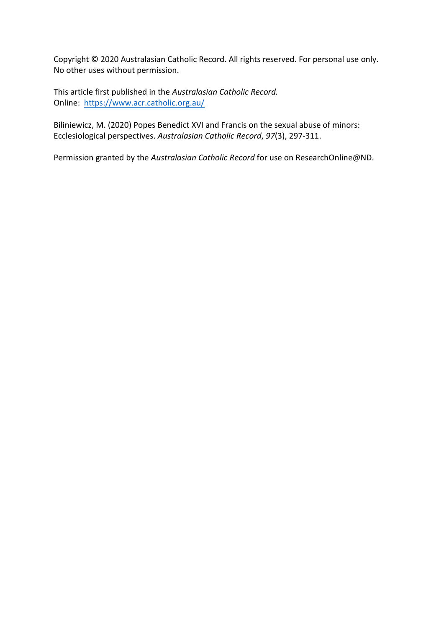Copyright © 2020 Australasian Catholic Record. All rights reserved. For personal use only. No other uses without permission.

This article first published in the *Australasian Catholic Record.* Online: <https://www.acr.catholic.org.au/>

Biliniewicz, M. (2020) Popes Benedict XVI and Francis on the sexual abuse of minors: Ecclesiological perspectives. *Australasian Catholic Record*, *97*(3), 297-311.

Permission granted by the *Australasian Catholic Record* for use on ResearchOnline@ND.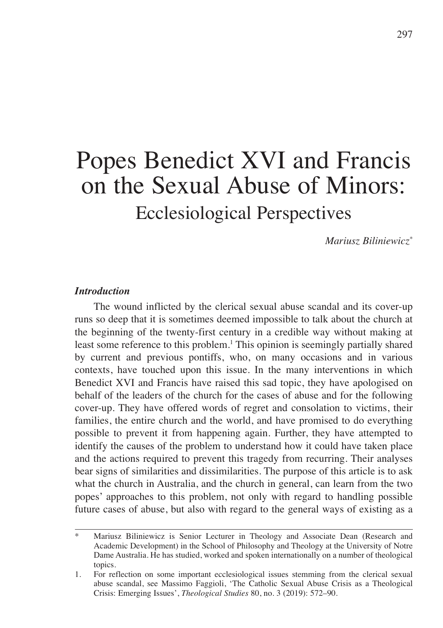# Popes Benedict XVI and Francis on the Sexual Abuse of Minors: Ecclesiological Perspectives

*Mariusz Biliniewicz\**

## *Introduction*

The wound inflicted by the clerical sexual abuse scandal and its cover-up runs so deep that it is sometimes deemed impossible to talk about the church at the beginning of the twenty-first century in a credible way without making at least some reference to this problem. <sup>1</sup> This opinion is seemingly partially shared by current and previous pontiffs, who, on many occasions and in various contexts, have touched upon this issue. In the many interventions in which Benedict XVI and Francis have raised this sad topic, they have apologised on behalf of the leaders of the church for the cases of abuse and for the following cover-up. They have offered words of regret and consolation to victims, their families, the entire church and the world, and have promised to do everything possible to prevent it from happening again. Further, they have attempted to identify the causes of the problem to understand how it could have taken place and the actions required to prevent this tragedy from recurring. Their analyses bear signs of similarities and dissimilarities. The purpose of this article is to ask what the church in Australia, and the church in general, can learn from the two popes' approaches to this problem, not only with regard to handling possible future cases of abuse, but also with regard to the general ways of existing as a

Mariusz Biliniewicz is Senior Lecturer in Theology and Associate Dean (Research and Academic Development) in the School of Philosophy and Theology at the University of Notre Dame Australia. He has studied, worked and spoken internationally on a number of theological topics.

<sup>1.</sup> For reflection on some important ecclesiological issues stemming from the clerical sexual abuse scandal, see Massimo Faggioli, 'The Catholic Sexual Abuse Crisis as a Theological Crisis: Emerging Issues', *Theological Studies* 80, no. 3 (2019): 572–90.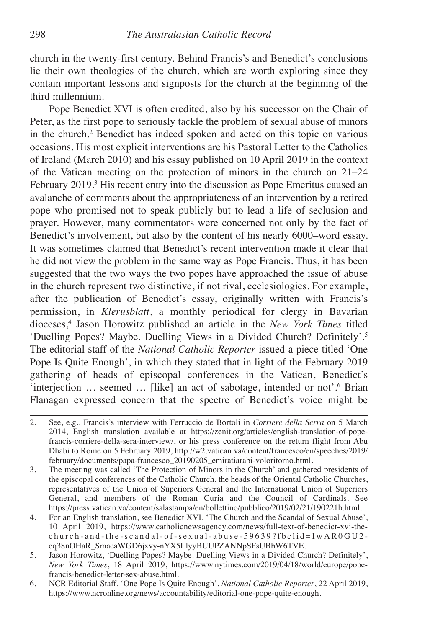church in the twenty-first century. Behind Francis's and Benedict's conclusions lie their own theologies of the church, which are worth exploring since they contain important lessons and signposts for the church at the beginning of the third millennium.

Pope Benedict XVI is often credited, also by his successor on the Chair of Peter, as the first pope to seriously tackle the problem of sexual abuse of minors in the church. <sup>2</sup> Benedict has indeed spoken and acted on this topic on various occasions. His most explicit interventions are his Pastoral Letter to the Catholics of Ireland (March 2010) and his essay published on 10 April 2019 in the context of the Vatican meeting on the protection of minors in the church on 21–24 February 2019. <sup>3</sup> His recent entry into the discussion as Pope Emeritus caused an avalanche of comments about the appropriateness of an intervention by a retired pope who promised not to speak publicly but to lead a life of seclusion and prayer. However, many commentators were concerned not only by the fact of Benedict's involvement, but also by the content of his nearly 6000–word essay. It was sometimes claimed that Benedict's recent intervention made it clear that he did not view the problem in the same way as Pope Francis. Thus, it has been suggested that the two ways the two popes have approached the issue of abuse in the church represent two distinctive, if not rival, ecclesiologies. For example, after the publication of Benedict's essay, originally written with Francis's permission, in *Klerusblatt*, a monthly periodical for clergy in Bavarian dioceses, <sup>4</sup> Jason Horowitz published an article in the *New York Times* titled 'Duelling Popes? Maybe. Duelling Views in a Divided Church? Definitely'. 5 The editorial staff of the *National Catholic Reporter* issued a piece titled 'One Pope Is Quite Enough', in which they stated that in light of the February 2019 gathering of heads of episcopal conferences in the Vatican, Benedict's 'interjection … seemed … [like] an act of sabotage, intended or not'. <sup>6</sup> Brian Flanagan expressed concern that the spectre of Benedict's voice might be

<sup>2.</sup> See, e.g., Francis's interview with Ferruccio de Bortoli in *Corriere della Serra* on 5 March 2014, English translation available at https://zenit.org/articles/english-translation-of-popefrancis-corriere-della-sera-interview/, or his press conference on the return flight from Abu Dhabi to Rome on 5 February 2019, http://w2.vatican.va/content/francesco/en/speeches/2019/ february/documents/papa-francesco\_20190205\_emiratiarabi-voloritorno.html.

<sup>3.</sup> The meeting was called 'The Protection of Minors in the Church' and gathered presidents of the episcopal conferences of the Catholic Church, the heads of the Oriental Catholic Churches, representatives of the Union of Superiors General and the International Union of Superiors General, and members of the Roman Curia and the Council of Cardinals. See https://press.vatican.va/content/salastampa/en/bollettino/pubblico/2019/02/21/190221b.html.

<sup>4.</sup> For an English translation, see Benedict XVI, 'The Church and the Scandal of Sexual Abuse', 10 April 2019, https://www.catholicnewsagency.com/news/full-text-of-benedict-xvi-the $church-and-the-scandal-of-sexual-abuse-59639?fbclid=IWAROGUI2$ eq38nOHaR\_SmaeaWGD6jxvy-nYX5LlyyBUUPZANNpSFsUBbW6TVE.

<sup>5.</sup> Jason Horowitz, 'Duelling Popes? Maybe. Duelling Views in a Divided Church? Definitely', *New York Times*, 18 April 2019, https://www.nytimes.com/2019/04/18/world/europe/popefrancis-benedict-letter-sex-abuse.html.

<sup>6.</sup> NCR Editorial Staff, 'One Pope Is Quite Enough', *National Catholic Reporter*, 22 April 2019, https://www.ncronline.org/news/accountability/editorial-one-pope-quite-enough.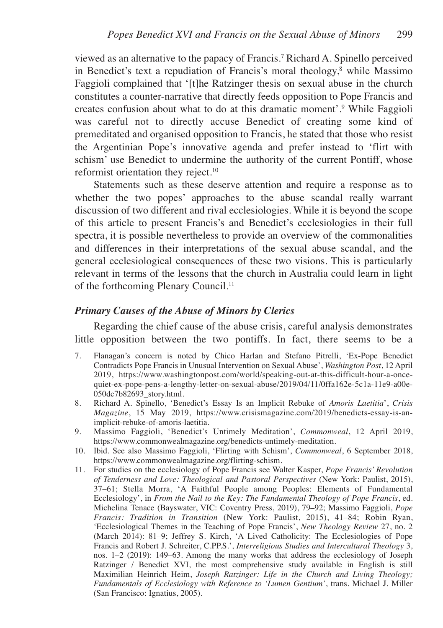viewed as an alternative to the papacy of Francis. <sup>7</sup> Richard A. Spinello perceived in Benedict's text a repudiation of Francis's moral theology, <sup>8</sup> while Massimo Faggioli complained that '[t]he Ratzinger thesis on sexual abuse in the church constitutes a counter-narrative that directly feeds opposition to Pope Francis and creates confusion about what to do at this dramatic moment'. <sup>9</sup> While Faggioli was careful not to directly accuse Benedict of creating some kind of premeditated and organised opposition to Francis, he stated that those who resist the Argentinian Pope's innovative agenda and prefer instead to 'flirt with schism' use Benedict to undermine the authority of the current Pontiff, whose reformist orientation they reject. 10

Statements such as these deserve attention and require a response as to whether the two popes' approaches to the abuse scandal really warrant discussion of two different and rival ecclesiologies. While it is beyond the scope of this article to present Francis's and Benedict's ecclesiologies in their full spectra, it is possible nevertheless to provide an overview of the commonalities and differences in their interpretations of the sexual abuse scandal, and the general ecclesiological consequences of these two visions. This is particularly relevant in terms of the lessons that the church in Australia could learn in light of the forthcoming Plenary Council.<sup>11</sup>

# *Primary Causes of the Abuse of Minors by Clerics*

Regarding the chief cause of the abuse crisis, careful analysis demonstrates little opposition between the two pontiffs. In fact, there seems to be a

- 7. Flanagan's concern is noted by Chico Harlan and Stefano Pitrelli, 'Ex-Pope Benedict Contradicts Pope Francis in Unusual Intervention on Sexual Abuse', *Washington Post*, 12 April 2019, https://www.washingtonpost.com/world/speaking-out-at-this-difficult-hour-a-oncequiet-ex-pope-pens-a-lengthy-letter-on-sexual-abuse/2019/04/11/0ffa162e-5c1a-11e9-a00e-050dc7b82693\_story.html.
- 8. Richard A. Spinello, 'Benedict's Essay Is an Implicit Rebuke of *Amoris Laetitia*', *Crisis Magazine*, 15 May 2019, https://www.crisismagazine.com/2019/benedicts-essay-is-animplicit-rebuke-of-amoris-laetitia.
- 9. Massimo Faggioli, 'Benedict's Untimely Meditation', *Commonweal*, 12 April 2019, https://www.commonwealmagazine.org/benedicts-untimely-meditation.
- 10. Ibid. See also Massimo Faggioli, 'Flirting with Schism', *Commonweal*, 6 September 2018, https://www.commonwealmagazine.org/flirting-schism.
- 11. For studies on the ecclesiology of Pope Francis see Walter Kasper, *Pope Francis' Revolution of Tenderness and Love: Theological and Pastoral Perspectives* (New York: Paulist, 2015), 37–61; Stella Morra, 'A Faithful People among Peoples: Elements of Fundamental Ecclesiology', in *From the Nail to the Key: The Fundamental Theology of Pope Francis*, ed. Michelina Tenace (Bayswater, VIC: Coventry Press, 2019), 79–92; Massimo Faggioli, *Pope Francis: Tradition in Transition* (New York: Paulist, 2015), 41–84; Robin Ryan, 'Ecclesiological Themes in the Teaching of Pope Francis', *New Theology Review* 27, no. 2 (March 2014): 81–9; Jeffrey S. Kirch, 'A Lived Catholicity: The Ecclesiologies of Pope Francis and Robert J. Schreiter, C.PP.S.', *Interreligious Studies and Intercultural Theology* 3, nos. 1–2 (2019): 149–63. Among the many works that address the ecclesiology of Joseph Ratzinger / Benedict XVI, the most comprehensive study available in English is still Maximilian Heinrich Heim, *Joseph Ratzinger: Life in the Church and Living Theology; Fundamentals of Ecclesiology with Reference to 'Lumen Gentium'*, trans. Michael J. Miller (San Francisco: Ignatius, 2005).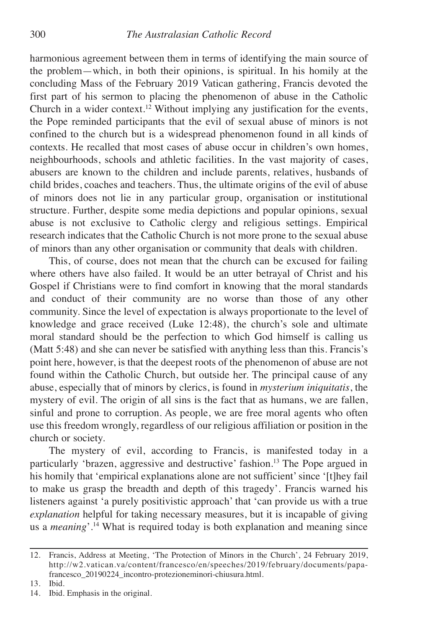harmonious agreement between them in terms of identifying the main source of the problem—which, in both their opinions, is spiritual. In his homily at the concluding Mass of the February 2019 Vatican gathering, Francis devoted the first part of his sermon to placing the phenomenon of abuse in the Catholic Church in a wider context. <sup>12</sup> Without implying any justification for the events, the Pope reminded participants that the evil of sexual abuse of minors is not confined to the church but is a widespread phenomenon found in all kinds of contexts. He recalled that most cases of abuse occur in children's own homes, neighbourhoods, schools and athletic facilities. In the vast majority of cases, abusers are known to the children and include parents, relatives, husbands of child brides, coaches and teachers. Thus, the ultimate origins of the evil of abuse of minors does not lie in any particular group, organisation or institutional structure. Further, despite some media depictions and popular opinions, sexual abuse is not exclusive to Catholic clergy and religious settings. Empirical research indicates that the Catholic Church is not more prone to the sexual abuse of minors than any other organisation or community that deals with children.

This, of course, does not mean that the church can be excused for failing where others have also failed. It would be an utter betrayal of Christ and his Gospel if Christians were to find comfort in knowing that the moral standards and conduct of their community are no worse than those of any other community. Since the level of expectation is always proportionate to the level of knowledge and grace received (Luke 12:48), the church's sole and ultimate moral standard should be the perfection to which God himself is calling us (Matt 5:48) and she can never be satisfied with anything less than this. Francis's point here, however, is that the deepest roots of the phenomenon of abuse are not found within the Catholic Church, but outside her. The principal cause of any abuse, especially that of minors by clerics, is found in *mysterium iniquitatis*, the mystery of evil. The origin of all sins is the fact that as humans, we are fallen, sinful and prone to corruption. As people, we are free moral agents who often use this freedom wrongly, regardless of our religious affiliation or position in the church or society.

The mystery of evil, according to Francis, is manifested today in a particularly 'brazen, aggressive and destructive' fashion. <sup>13</sup> The Pope argued in his homily that 'empirical explanations alone are not sufficient' since '[t]hey fail to make us grasp the breadth and depth of this tragedy'. Francis warned his listeners against 'a purely positivistic approach' that 'can provide us with a true *explanation* helpful for taking necessary measures, but it is incapable of giving us a *meaning*'*.* <sup>14</sup> What is required today is both explanation and meaning since

<sup>12.</sup> Francis, Address at Meeting, 'The Protection of Minors in the Church', 24 February 2019, http://w2.vatican.va/content/francesco/en/speeches/2019/february/documents/papafrancesco\_20190224\_incontro-protezioneminori-chiusura.html.

<sup>13.</sup> Ibid.

<sup>14.</sup> Ibid. Emphasis in the original.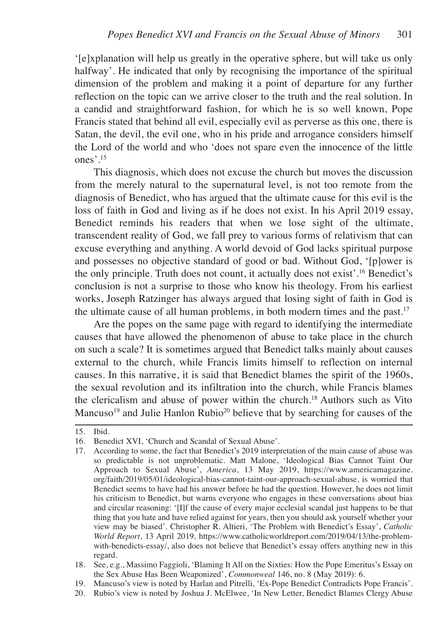'[e]xplanation will help us greatly in the operative sphere, but will take us only halfway'. He indicated that only by recognising the importance of the spiritual dimension of the problem and making it a point of departure for any further reflection on the topic can we arrive closer to the truth and the real solution. In a candid and straightforward fashion, for which he is so well known, Pope Francis stated that behind all evil, especially evil as perverse as this one, there is Satan, the devil, the evil one, who in his pride and arrogance considers himself the Lord of the world and who 'does not spare even the innocence of the little ones'. 15

This diagnosis, which does not excuse the church but moves the discussion from the merely natural to the supernatural level, is not too remote from the diagnosis of Benedict, who has argued that the ultimate cause for this evil is the loss of faith in God and living as if he does not exist. In his April 2019 essay, Benedict reminds his readers that when we lose sight of the ultimate, transcendent reality of God, we fall prey to various forms of relativism that can excuse everything and anything. A world devoid of God lacks spiritual purpose and possesses no objective standard of good or bad. Without God, '[p]ower is the only principle. Truth does not count, it actually does not exist'. <sup>16</sup> Benedict's conclusion is not a surprise to those who know his theology. From his earliest works, Joseph Ratzinger has always argued that losing sight of faith in God is the ultimate cause of all human problems, in both modern times and the past. 17

Are the popes on the same page with regard to identifying the intermediate causes that have allowed the phenomenon of abuse to take place in the church on such a scale? It is sometimes argued that Benedict talks mainly about causes external to the church, while Francis limits himself to reflection on internal causes. In this narrative, it is said that Benedict blames the spirit of the 1960s, the sexual revolution and its infiltration into the church, while Francis blames the clericalism and abuse of power within the church. <sup>18</sup> Authors such as Vito Mancuso<sup>19</sup> and Julie Hanlon Rubio<sup>20</sup> believe that by searching for causes of the

- 18. See, e.g., Massimo Faggioli, 'Blaming It All on the Sixties: How the Pope Emeritus's Essay on the Sex Abuse Has Been Weaponized', *Commonweal* 146, no. 8 (May 2019): 6.
- 19. Mancuso's view is noted by Harlan and Pitrelli, 'Ex-Pope Benedict Contradicts Pope Francis'.
- 20. Rubio's view is noted by Joshua J. McElwee, 'In New Letter, Benedict Blames Clergy Abuse

<sup>15.</sup> Ibid.

<sup>16.</sup> Benedict XVI, 'Church and Scandal of Sexual Abuse'.

<sup>17.</sup> According to some, the fact that Benedict's 2019 interpretation of the main cause of abuse was so predictable is not unproblematic. Matt Malone, 'Ideological Bias Cannot Taint Our Approach to Sexual Abuse', *America*, 13 May 2019, https://www.americamagazine. org/faith/2019/05/01/ideological-bias-cannot-taint-our-approach-sexual-abuse, is worried that Benedict seems to have had his answer before he had the question. However, he does not limit his criticism to Benedict, but warns everyone who engages in these conversations about bias and circular reasoning: '[I]f the cause of every major ecclesial scandal just happens to be that thing that you hate and have relied against for years, then you should ask yourself whether your view may be biased'. Christopher R. Altieri, 'The Problem with Benedict's Essay', *Catholic World Report*, 13 April 2019, https://www.catholicworldreport.com/2019/04/13/the-problemwith-benedicts-essay/, also does not believe that Benedict's essay offers anything new in this regard.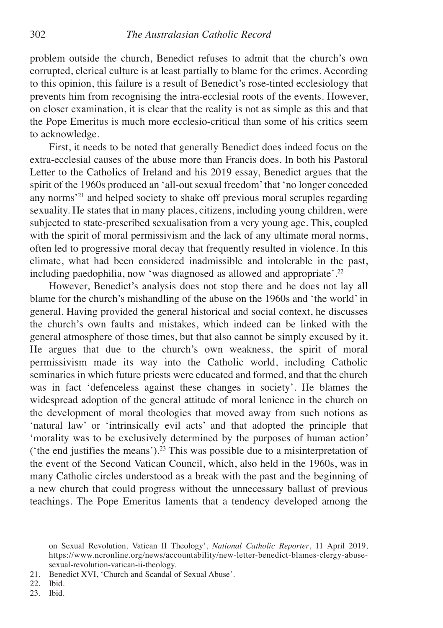problem outside the church, Benedict refuses to admit that the church's own corrupted, clerical culture is at least partially to blame for the crimes. According to this opinion, this failure is a result of Benedict's rose-tinted ecclesiology that prevents him from recognising the intra-ecclesial roots of the events. However, on closer examination, it is clear that the reality is not as simple as this and that the Pope Emeritus is much more ecclesio-critical than some of his critics seem to acknowledge.

First, it needs to be noted that generally Benedict does indeed focus on the extra-ecclesial causes of the abuse more than Francis does. In both his Pastoral Letter to the Catholics of Ireland and his 2019 essay, Benedict argues that the spirit of the 1960s produced an 'all-out sexual freedom'that 'no longer conceded any norms'21 and helped society to shake off previous moral scruples regarding sexuality. He states that in many places, citizens, including young children, were subjected to state-prescribed sexualisation from a very young age. This, coupled with the spirit of moral permissivism and the lack of any ultimate moral norms, often led to progressive moral decay that frequently resulted in violence. In this climate, what had been considered inadmissible and intolerable in the past, including paedophilia, now 'was diagnosed as allowed and appropriate'. 22

However, Benedict's analysis does not stop there and he does not lay all blame for the church's mishandling of the abuse on the 1960s and 'the world' in general. Having provided the general historical and social context, he discusses the church's own faults and mistakes, which indeed can be linked with the general atmosphere of those times, but that also cannot be simply excused by it. He argues that due to the church's own weakness, the spirit of moral permissivism made its way into the Catholic world, including Catholic seminaries in which future priests were educated and formed, and that the church was in fact 'defenceless against these changes in society'. He blames the widespread adoption of the general attitude of moral lenience in the church on the development of moral theologies that moved away from such notions as 'natural law' or 'intrinsically evil acts' and that adopted the principle that 'morality was to be exclusively determined by the purposes of human action' ('the end justifies the means'). <sup>23</sup> This was possible due to a misinterpretation of the event of the Second Vatican Council, which, also held in the 1960s, was in many Catholic circles understood as a break with the past and the beginning of a new church that could progress without the unnecessary ballast of previous teachings. The Pope Emeritus laments that a tendency developed among the

on Sexual Revolution, Vatican II Theology', *National Catholic Reporter*, 11 April 2019, https://www.ncronline.org/news/accountability/new-letter-benedict-blames-clergy-abusesexual-revolution-vatican-ii-theology.

<sup>21.</sup> Benedict XVI, 'Church and Scandal of Sexual Abuse'.

<sup>22.</sup> Ibid.

<sup>23.</sup> Ibid.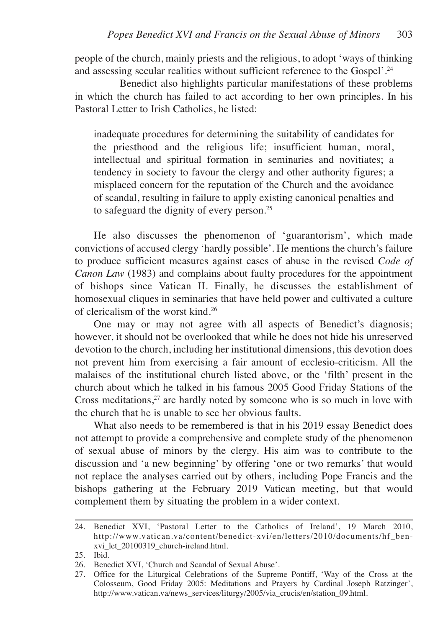people of the church, mainly priests and the religious, to adopt 'ways of thinking and assessing secular realities without sufficient reference to the Gospel'. 24

Benedict also highlights particular manifestations of these problems in which the church has failed to act according to her own principles. In his Pastoral Letter to Irish Catholics, he listed:

inadequate procedures for determining the suitability of candidates for the priesthood and the religious life; insufficient human, moral, intellectual and spiritual formation in seminaries and novitiates; a tendency in society to favour the clergy and other authority figures; a misplaced concern for the reputation of the Church and the avoidance of scandal, resulting in failure to apply existing canonical penalties and to safeguard the dignity of every person. 25

He also discusses the phenomenon of 'guarantorism', which made convictions of accused clergy 'hardly possible'. He mentions the church's failure to produce sufficient measures against cases of abuse in the revised *Code of Canon Law* (1983) and complains about faulty procedures for the appointment of bishops since Vatican II. Finally, he discusses the establishment of homosexual cliques in seminaries that have held power and cultivated a culture of clericalism of the worst kind. 26

One may or may not agree with all aspects of Benedict's diagnosis; however, it should not be overlooked that while he does not hide his unreserved devotion to the church, including her institutional dimensions, this devotion does not prevent him from exercising a fair amount of ecclesio-criticism. All the malaises of the institutional church listed above, or the 'filth' present in the church about which he talked in his famous 2005 Good Friday Stations of the Cross meditations, <sup>27</sup> are hardly noted by someone who is so much in love with the church that he is unable to see her obvious faults.

What also needs to be remembered is that in his 2019 essay Benedict does not attempt to provide a comprehensive and complete study of the phenomenon of sexual abuse of minors by the clergy. His aim was to contribute to the discussion and 'a new beginning' by offering 'one or two remarks' that would not replace the analyses carried out by others, including Pope Francis and the bishops gathering at the February 2019 Vatican meeting, but that would complement them by situating the problem in a wider context.

<sup>24.</sup> Benedict XVI, 'Pastoral Letter to the Catholics of Ireland', 19 March 2010, http://www.vatican.va/content/benedict-xvi/en/letters/2010/documents/hf\_benxvi\_let\_20100319\_church-ireland.html.

<sup>25.</sup> Ibid.

<sup>26.</sup> Benedict XVI, 'Church and Scandal of Sexual Abuse'.

<sup>27.</sup> Office for the Liturgical Celebrations of the Supreme Pontiff, 'Way of the Cross at the Colosseum, Good Friday 2005: Meditations and Prayers by Cardinal Joseph Ratzinger', http://www.vatican.va/news\_services/liturgy/2005/via\_crucis/en/station\_09.html.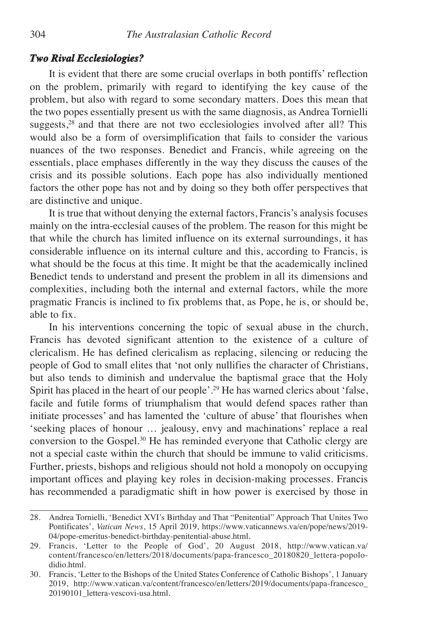#### *Two Rival Ecclesiologies?*

It is evident that there are some crucial overlaps in both pontiffs' reflection on the problem, primarily with regard to identifying the key cause of the problem, but also with regard to some secondary matters. Does this mean that the two popes essentially present us with the same diagnosis, as Andrea Tornielli suggests, <sup>28</sup> and that there are not two ecclesiologies involved after all? This would also be a form of oversimplification that fails to consider the various nuances of the two responses. Benedict and Francis, while agreeing on the essentials, place emphases differently in the way they discuss the causes of the crisis and its possible solutions. Each pope has also individually mentioned factors the other pope has not and by doing so they both offer perspectives that are distinctive and unique.

It is true that without denying the external factors, Francis's analysis focuses mainly on the intra-ecclesial causes of the problem. The reason for this might be that while the church has limited influence on its external surroundings, it has considerable influence on its internal culture and this, according to Francis, is what should be the focus at this time. It might be that the academically inclined Benedict tends to understand and present the problem in all its dimensions and complexities, including both the internal and external factors, while the more pragmatic Francis is inclined to fix problems that, as Pope, he is, or should be, able to fix.

In his interventions concerning the topic of sexual abuse in the church, Francis has devoted significant attention to the existence of a culture of clericalism. He has defined clericalism as replacing, silencing or reducing the people of God to small elites that 'not only nullifies the character of Christians, but also tends to diminish and undervalue the baptismal grace that the Holy Spirit has placed in the heart of our people'. <sup>29</sup> He has warned clerics about 'false, facile and futile forms of triumphalism that would defend spaces rather than initiate processes' and has lamented the 'culture of abuse' that flourishes when 'seeking places of honour … jealousy, envy and machinations' replace a real conversion to the Gospel.<sup>30</sup> He has reminded everyone that Catholic clergy are not a special caste within the church that should be immune to valid criticisms. Further, priests, bishops and religious should not hold a monopoly on occupying important offices and playing key roles in decision-making processes. Francis has recommended a paradigmatic shift in how power is exercised by those in

<sup>28.</sup> Andrea Tornielli, 'Benedict XVI's Birthday and That "Penitential" Approach That Unites Two Pontificates', *Vatican News*, 15 April 2019, https://www.vaticannews.va/en/pope/news/2019- 04/pope-emeritus-benedict-birthday-penitential-abuse.html.

<sup>29.</sup> Francis, 'Letter to the People of God', 20 August 2018, http://www.vatican.va/ content/francesco/en/letters/2018/documents/papa-francesco\_20180820\_lettera-popolodidio.html.

<sup>30.</sup> Francis, 'Letter to the Bishops of the United States Conference of Catholic Bishops', 1 January 2019, http://www.vatican.va/content/francesco/en/letters/2019/documents/papa-francesco\_ 20190101\_lettera-vescovi-usa.html.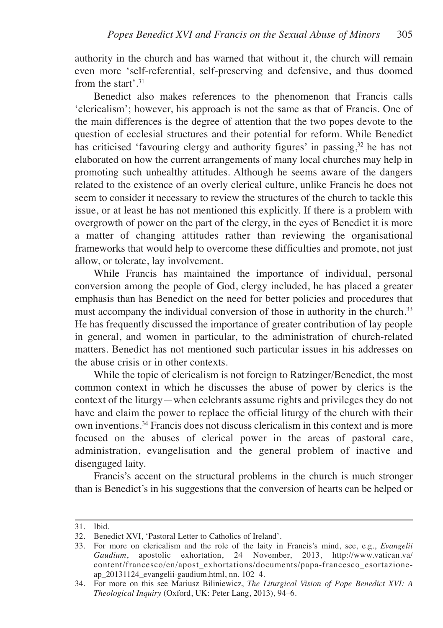authority in the church and has warned that without it, the church will remain even more 'self-referential, self-preserving and defensive, and thus doomed from the start'. 31

Benedict also makes references to the phenomenon that Francis calls 'clericalism'; however, his approach is not the same as that of Francis. One of the main differences is the degree of attention that the two popes devote to the question of ecclesial structures and their potential for reform. While Benedict has criticised 'favouring clergy and authority figures' in passing,<sup>32</sup> he has not elaborated on how the current arrangements of many local churches may help in promoting such unhealthy attitudes. Although he seems aware of the dangers related to the existence of an overly clerical culture, unlike Francis he does not seem to consider it necessary to review the structures of the church to tackle this issue, or at least he has not mentioned this explicitly. If there is a problem with overgrowth of power on the part of the clergy, in the eyes of Benedict it is more a matter of changing attitudes rather than reviewing the organisational frameworks that would help to overcome these difficulties and promote, not just allow, or tolerate, lay involvement.

While Francis has maintained the importance of individual, personal conversion among the people of God, clergy included, he has placed a greater emphasis than has Benedict on the need for better policies and procedures that must accompany the individual conversion of those in authority in the church.<sup>33</sup> He has frequently discussed the importance of greater contribution of lay people in general, and women in particular, to the administration of church-related matters. Benedict has not mentioned such particular issues in his addresses on the abuse crisis or in other contexts.

While the topic of clericalism is not foreign to Ratzinger/Benedict, the most common context in which he discusses the abuse of power by clerics is the context of the liturgy—when celebrants assume rights and privileges they do not have and claim the power to replace the official liturgy of the church with their own inventions. <sup>34</sup> Francis does not discuss clericalism in this context and is more focused on the abuses of clerical power in the areas of pastoral care, administration, evangelisation and the general problem of inactive and disengaged laity.

Francis's accent on the structural problems in the church is much stronger than is Benedict's in his suggestions that the conversion of hearts can be helped or

<sup>31.</sup> Ibid.

<sup>32.</sup> Benedict XVI, 'Pastoral Letter to Catholics of Ireland'.

<sup>33.</sup> For more on clericalism and the role of the laity in Francis's mind, see, e.g., *Evangelii Gaudium*, apostolic exhortation, 24 November, 2013, http://www.vatican.va/ content/francesco/en/apost\_exhortations/documents/papa-francesco\_esortazioneap\_20131124\_evangelii-gaudium.html, nn. 102–4.

<sup>34.</sup> For more on this see Mariusz Biliniewicz, *The Liturgical Vision of Pope Benedict XVI: A Theological Inquiry* (Oxford, UK: Peter Lang, 2013), 94–6.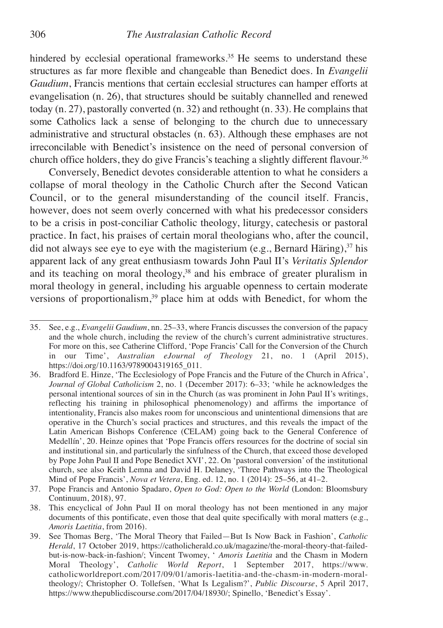hindered by ecclesial operational frameworks.<sup>35</sup> He seems to understand these structures as far more flexible and changeable than Benedict does. In *Evangelii Gaudium*, Francis mentions that certain ecclesial structures can hamper efforts at evangelisation (n. 26), that structures should be suitably channelled and renewed today (n. 27), pastorally converted (n. 32) and rethought (n. 33). He complains that some Catholics lack a sense of belonging to the church due to unnecessary administrative and structural obstacles (n. 63). Although these emphases are not irreconcilable with Benedict's insistence on the need of personal conversion of church office holders, they do give Francis's teaching a slightly different flavour. 36

Conversely, Benedict devotes considerable attention to what he considers a collapse of moral theology in the Catholic Church after the Second Vatican Council, or to the general misunderstanding of the council itself. Francis, however, does not seem overly concerned with what his predecessor considers to be a crisis in post-conciliar Catholic theology, liturgy, catechesis or pastoral practice. In fact, his praises of certain moral theologians who, after the council, did not always see eye to eye with the magisterium (e.g., Bernard Häring), <sup>37</sup> his apparent lack of any great enthusiasm towards John Paul II's *Veritatis Splendor* and its teaching on moral theology, <sup>38</sup> and his embrace of greater pluralism in moral theology in general, including his arguable openness to certain moderate versions of proportionalism, <sup>39</sup> place him at odds with Benedict, for whom the

<sup>35.</sup> See, e.g., *Evangelii Gaudium*, nn. 25–33, where Francis discusses the conversion of the papacy and the whole church, including the review of the church's current administrative structures. For more on this, see Catherine Clifford, 'Pope Francis' Call for the Conversion of the Church in our Time', *Australian eJournal of Theology* 21, no. 1 (April 2015), https://doi.org/10.1163/9789004319165\_011.

<sup>36.</sup> Bradford E. Hinze, 'The Ecclesiology of Pope Francis and the Future of the Church in Africa', *Journal of Global Catholicism* 2, no. 1 (December 2017): 6–33; 'while he acknowledges the personal intentional sources of sin in the Church (as was prominent in John Paul II's writings, reflecting his training in philosophical phenomenology) and affirms the importance of intentionality, Francis also makes room for unconscious and unintentional dimensions that are operative in the Church's social practices and structures, and this reveals the impact of the Latin American Bishops Conference (CELAM) going back to the General Conference of Medellín', 20. Heinze opines that 'Pope Francis offers resources for the doctrine of social sin and institutional sin, and particularly the sinfulness of the Church, that exceed those developed by Pope John Paul II and Pope Benedict XVI', 22. On 'pastoral conversion' of the institutional church, see also Keith Lemna and David H. Delaney, 'Three Pathways into the Theological Mind of Pope Francis', *Nova et Vetera*, Eng. ed. 12, no. 1 (2014): 25–56, at 41–2.

<sup>37.</sup> Pope Francis and Antonio Spadaro, *Open to God: Open to the World* (London: Bloomsbury Continuum, 2018), 97.

<sup>38.</sup> This encyclical of John Paul II on moral theology has not been mentioned in any major documents of this pontificate, even those that deal quite specifically with moral matters (e.g., *Amoris Laetitia*, from 2016).

<sup>39.</sup> See Thomas Berg, 'The Moral Theory that Failed—But Is Now Back in Fashion', *Catholic Herald*, 17 October 2019, https://catholicherald.co.uk/magazine/the-moral-theory-that-failedbut-is-now-back-in-fashion/; Vincent Twomey, ' *Amoris Laetitia* and the Chasm in Modern Moral Theology', *Catholic World Report*, 1 September 2017, https://www. catholicworldreport.com/2017/09/01/amoris-laetitia-and-the-chasm-in-modern-moraltheology/; Christopher O. Tollefsen, 'What Is Legalism?', *Public Discourse*, 5 April 2017, https://www.thepublicdiscourse.com/2017/04/18930/; Spinello, 'Benedict's Essay'.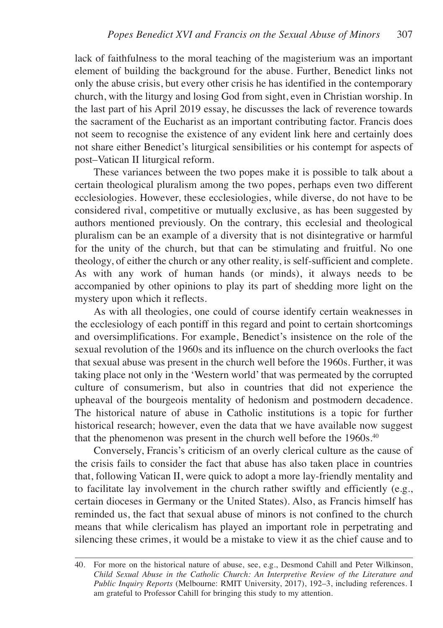lack of faithfulness to the moral teaching of the magisterium was an important element of building the background for the abuse. Further, Benedict links not only the abuse crisis, but every other crisis he has identified in the contemporary church, with the liturgy and losing God from sight, even in Christian worship. In the last part of his April 2019 essay, he discusses the lack of reverence towards the sacrament of the Eucharist as an important contributing factor. Francis does not seem to recognise the existence of any evident link here and certainly does not share either Benedict's liturgical sensibilities or his contempt for aspects of post–Vatican II liturgical reform.

These variances between the two popes make it is possible to talk about a certain theological pluralism among the two popes, perhaps even two different ecclesiologies. However, these ecclesiologies, while diverse, do not have to be considered rival, competitive or mutually exclusive, as has been suggested by authors mentioned previously. On the contrary, this ecclesial and theological pluralism can be an example of a diversity that is not disintegrative or harmful for the unity of the church, but that can be stimulating and fruitful. No one theology, of either the church or any other reality, is self-sufficient and complete. As with any work of human hands (or minds), it always needs to be accompanied by other opinions to play its part of shedding more light on the mystery upon which it reflects.

As with all theologies, one could of course identify certain weaknesses in the ecclesiology of each pontiff in this regard and point to certain shortcomings and oversimplifications. For example, Benedict's insistence on the role of the sexual revolution of the 1960s and its influence on the church overlooks the fact that sexual abuse was present in the church well before the 1960s. Further, it was taking place not only in the 'Western world'that was permeated by the corrupted culture of consumerism, but also in countries that did not experience the upheaval of the bourgeois mentality of hedonism and postmodern decadence. The historical nature of abuse in Catholic institutions is a topic for further historical research; however, even the data that we have available now suggest that the phenomenon was present in the church well before the 1960s. 40

Conversely, Francis's criticism of an overly clerical culture as the cause of the crisis fails to consider the fact that abuse has also taken place in countries that, following Vatican II, were quick to adopt a more lay-friendly mentality and to facilitate lay involvement in the church rather swiftly and efficiently (e.g., certain dioceses in Germany or the United States). Also, as Francis himself has reminded us, the fact that sexual abuse of minors is not confined to the church means that while clericalism has played an important role in perpetrating and silencing these crimes, it would be a mistake to view it as the chief cause and to

<sup>40.</sup> For more on the historical nature of abuse, see, e.g., Desmond Cahill and Peter Wilkinson, *Child Sexual Abuse in the Catholic Church: An Interpretive Review of the Literature and Public Inquiry Reports* (Melbourne: RMIT University, 2017), 192–3, including references. I am grateful to Professor Cahill for bringing this study to my attention.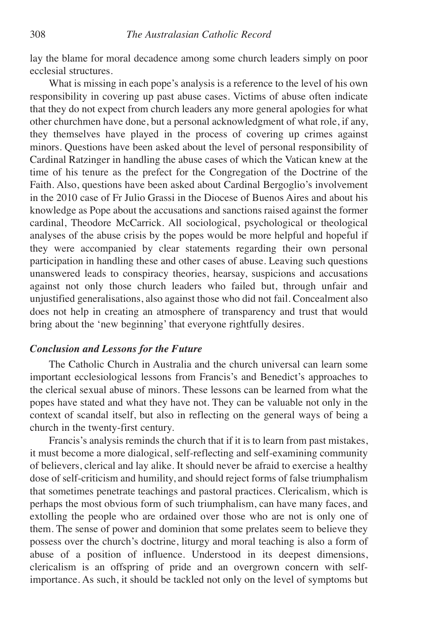lay the blame for moral decadence among some church leaders simply on poor ecclesial structures.

What is missing in each pope's analysis is a reference to the level of his own responsibility in covering up past abuse cases. Victims of abuse often indicate that they do not expect from church leaders any more general apologies for what other churchmen have done, but a personal acknowledgment of what role, if any, they themselves have played in the process of covering up crimes against minors. Questions have been asked about the level of personal responsibility of Cardinal Ratzinger in handling the abuse cases of which the Vatican knew at the time of his tenure as the prefect for the Congregation of the Doctrine of the Faith. Also, questions have been asked about Cardinal Bergoglio's involvement in the 2010 case of Fr Julio Grassi in the Diocese of Buenos Aires and about his knowledge as Pope about the accusations and sanctions raised against the former cardinal, Theodore McCarrick. All sociological, psychological or theological analyses of the abuse crisis by the popes would be more helpful and hopeful if they were accompanied by clear statements regarding their own personal participation in handling these and other cases of abuse. Leaving such questions unanswered leads to conspiracy theories, hearsay, suspicions and accusations against not only those church leaders who failed but, through unfair and unjustified generalisations, also against those who did not fail. Concealment also does not help in creating an atmosphere of transparency and trust that would bring about the 'new beginning' that everyone rightfully desires.

## *Conclusion and Lessons for the Future*

The Catholic Church in Australia and the church universal can learn some important ecclesiological lessons from Francis's and Benedict's approaches to the clerical sexual abuse of minors. These lessons can be learned from what the popes have stated and what they have not. They can be valuable not only in the context of scandal itself, but also in reflecting on the general ways of being a church in the twenty-first century.

Francis's analysis reminds the church that if it is to learn from past mistakes, it must become a more dialogical, self-reflecting and self-examining community of believers, clerical and lay alike. It should never be afraid to exercise a healthy dose of self-criticism and humility, and should reject forms of false triumphalism that sometimes penetrate teachings and pastoral practices. Clericalism, which is perhaps the most obvious form of such triumphalism, can have many faces, and extolling the people who are ordained over those who are not is only one of them. The sense of power and dominion that some prelates seem to believe they possess over the church's doctrine, liturgy and moral teaching is also a form of abuse of a position of influence. Understood in its deepest dimensions, clericalism is an offspring of pride and an overgrown concern with selfimportance. As such, it should be tackled not only on the level of symptoms but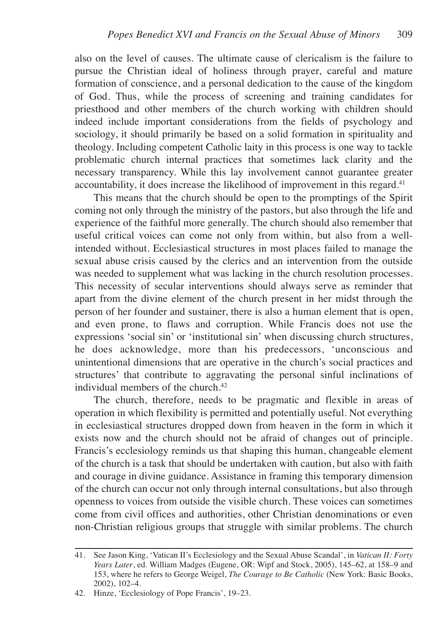also on the level of causes. The ultimate cause of clericalism is the failure to pursue the Christian ideal of holiness through prayer, careful and mature formation of conscience, and a personal dedication to the cause of the kingdom of God. Thus, while the process of screening and training candidates for priesthood and other members of the church working with children should indeed include important considerations from the fields of psychology and sociology, it should primarily be based on a solid formation in spirituality and theology. Including competent Catholic laity in this process is one way to tackle problematic church internal practices that sometimes lack clarity and the necessary transparency. While this lay involvement cannot guarantee greater accountability, it does increase the likelihood of improvement in this regard.<sup>41</sup>

This means that the church should be open to the promptings of the Spirit coming not only through the ministry of the pastors, but also through the life and experience of the faithful more generally. The church should also remember that useful critical voices can come not only from within, but also from a wellintended without. Ecclesiastical structures in most places failed to manage the sexual abuse crisis caused by the clerics and an intervention from the outside was needed to supplement what was lacking in the church resolution processes. This necessity of secular interventions should always serve as reminder that apart from the divine element of the church present in her midst through the person of her founder and sustainer, there is also a human element that is open, and even prone, to flaws and corruption. While Francis does not use the expressions 'social sin' or 'institutional sin' when discussing church structures, he does acknowledge, more than his predecessors, 'unconscious and unintentional dimensions that are operative in the church's social practices and structures' that contribute to aggravating the personal sinful inclinations of individual members of the church. 42

The church, therefore, needs to be pragmatic and flexible in areas of operation in which flexibility is permitted and potentially useful. Not everything in ecclesiastical structures dropped down from heaven in the form in which it exists now and the church should not be afraid of changes out of principle. Francis's ecclesiology reminds us that shaping this human, changeable element of the church is a task that should be undertaken with caution, but also with faith and courage in divine guidance. Assistance in framing this temporary dimension of the church can occur not only through internal consultations, but also through openness to voices from outside the visible church. These voices can sometimes come from civil offices and authorities, other Christian denominations or even non-Christian religious groups that struggle with similar problems. The church

<sup>41.</sup> See Jason King, 'Vatican II's Ecclesiology and the Sexual Abuse Scandal', in *Vatican II: Forty Years Later*, ed. William Madges (Eugene, OR: Wipf and Stock, 2005), 145–62, at 158–9 and 153, where he refers to George Weigel, *The Courage to Be Catholic* (New York: Basic Books, 2002), 102–4.

<sup>42.</sup> Hinze, 'Ecclesiology of Pope Francis', 19–23.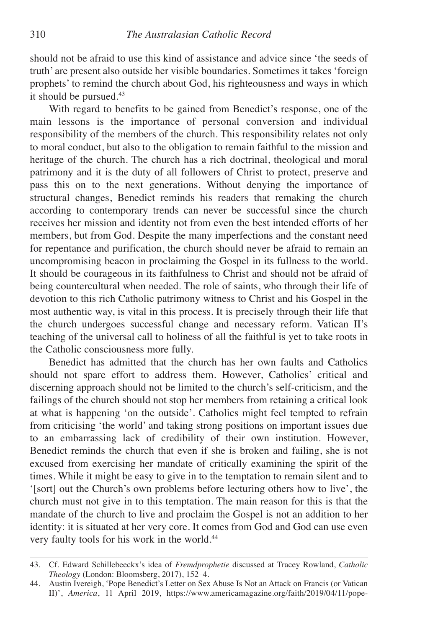should not be afraid to use this kind of assistance and advice since 'the seeds of truth' are present also outside her visible boundaries. Sometimes it takes 'foreign prophets' to remind the church about God, his righteousness and ways in which it should be pursued. 43

With regard to benefits to be gained from Benedict's response, one of the main lessons is the importance of personal conversion and individual responsibility of the members of the church. This responsibility relates not only to moral conduct, but also to the obligation to remain faithful to the mission and heritage of the church. The church has a rich doctrinal, theological and moral patrimony and it is the duty of all followers of Christ to protect, preserve and pass this on to the next generations. Without denying the importance of structural changes, Benedict reminds his readers that remaking the church according to contemporary trends can never be successful since the church receives her mission and identity not from even the best intended efforts of her members, but from God. Despite the many imperfections and the constant need for repentance and purification, the church should never be afraid to remain an uncompromising beacon in proclaiming the Gospel in its fullness to the world. It should be courageous in its faithfulness to Christ and should not be afraid of being countercultural when needed. The role of saints, who through their life of devotion to this rich Catholic patrimony witness to Christ and his Gospel in the most authentic way, is vital in this process. It is precisely through their life that the church undergoes successful change and necessary reform. Vatican II's teaching of the universal call to holiness of all the faithful is yet to take roots in the Catholic consciousness more fully.

Benedict has admitted that the church has her own faults and Catholics should not spare effort to address them. However, Catholics' critical and discerning approach should not be limited to the church's self-criticism, and the failings of the church should not stop her members from retaining a critical look at what is happening 'on the outside'. Catholics might feel tempted to refrain from criticising 'the world' and taking strong positions on important issues due to an embarrassing lack of credibility of their own institution. However, Benedict reminds the church that even if she is broken and failing, she is not excused from exercising her mandate of critically examining the spirit of the times. While it might be easy to give in to the temptation to remain silent and to '[sort] out the Church's own problems before lecturing others how to live', the church must not give in to this temptation. The main reason for this is that the mandate of the church to live and proclaim the Gospel is not an addition to her identity: it is situated at her very core. It comes from God and God can use even very faulty tools for his work in the world. 44

<sup>43.</sup> Cf. Edward Schillebeeckx's idea of *Fremdprophetie* discussed at Tracey Rowland, *Catholic Theology* (London: Bloomsberg, 2017), 152–4.

<sup>44.</sup> Austin Ivereigh, 'Pope Benedict's Letter on Sex Abuse Is Not an Attack on Francis (or Vatican II)', *America*, 11 April 2019, https://www.americamagazine.org/faith/2019/04/11/pope-